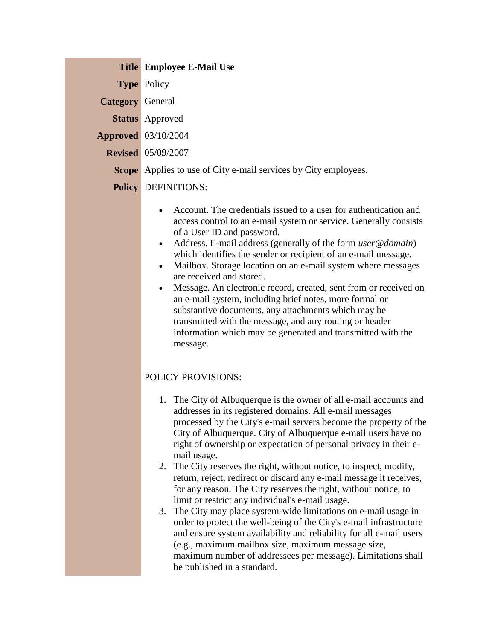| <b>Title Employee E-Mail Use</b> |  |
|----------------------------------|--|
|                                  |  |

**Type** Policy

**Category** General

**Status** Approved

**Approved** 03/10/2004

**Revised** 05/09/2007

**Scope** Applies to use of City e-mail services by City employees.

## **Policy** DEFINITIONS:

- Account. The credentials issued to a user for authentication and access control to an e-mail system or service. Generally consists of a User ID and password.
- Address. E-mail address (generally of the form *user@domain*) which identifies the sender or recipient of an e-mail message.
- Mailbox. Storage location on an e-mail system where messages are received and stored.
- Message. An electronic record, created, sent from or received on an e-mail system, including brief notes, more formal or substantive documents, any attachments which may be transmitted with the message, and any routing or header information which may be generated and transmitted with the message.

## POLICY PROVISIONS:

- 1. The City of Albuquerque is the owner of all e-mail accounts and addresses in its registered domains. All e-mail messages processed by the City's e-mail servers become the property of the City of Albuquerque. City of Albuquerque e-mail users have no right of ownership or expectation of personal privacy in their email usage.
- 2. The City reserves the right, without notice, to inspect, modify, return, reject, redirect or discard any e-mail message it receives, for any reason. The City reserves the right, without notice, to limit or restrict any individual's e-mail usage.
- 3. The City may place system-wide limitations on e-mail usage in order to protect the well-being of the City's e-mail infrastructure and ensure system availability and reliability for all e-mail users (e.g., maximum mailbox size, maximum message size, maximum number of addressees per message). Limitations shall be published in a standard.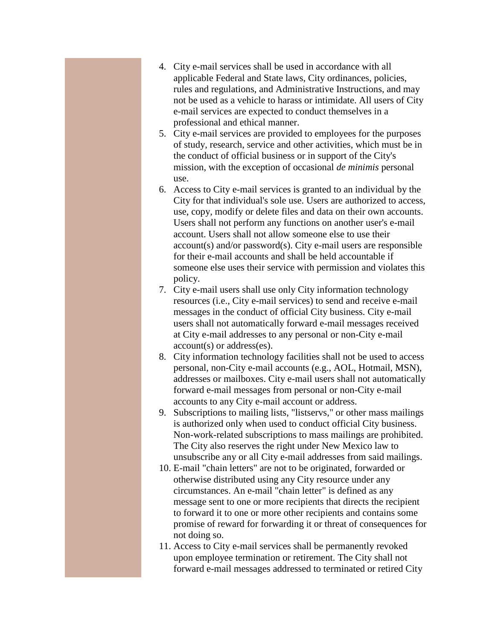- 4. City e-mail services shall be used in accordance with all applicable Federal and State laws, City ordinances, policies, rules and regulations, and Administrative Instructions, and may not be used as a vehicle to harass or intimidate. All users of City e-mail services are expected to conduct themselves in a professional and ethical manner.
- 5. City e-mail services are provided to employees for the purposes of study, research, service and other activities, which must be in the conduct of official business or in support of the City's mission, with the exception of occasional *de minimis* personal use.
- 6. Access to City e-mail services is granted to an individual by the City for that individual's sole use. Users are authorized to access, use, copy, modify or delete files and data on their own accounts. Users shall not perform any functions on another user's e-mail account. Users shall not allow someone else to use their account(s) and/or password(s). City e-mail users are responsible for their e-mail accounts and shall be held accountable if someone else uses their service with permission and violates this policy.
- 7. City e-mail users shall use only City information technology resources (i.e., City e-mail services) to send and receive e-mail messages in the conduct of official City business. City e-mail users shall not automatically forward e-mail messages received at City e-mail addresses to any personal or non-City e-mail account(s) or address(es).
- 8. City information technology facilities shall not be used to access personal, non-City e-mail accounts (e.g., AOL, Hotmail, MSN), addresses or mailboxes. City e-mail users shall not automatically forward e-mail messages from personal or non-City e-mail accounts to any City e-mail account or address.
- 9. Subscriptions to mailing lists, "listservs," or other mass mailings is authorized only when used to conduct official City business. Non-work-related subscriptions to mass mailings are prohibited. The City also reserves the right under New Mexico law to unsubscribe any or all City e-mail addresses from said mailings.
- 10. E-mail "chain letters" are not to be originated, forwarded or otherwise distributed using any City resource under any circumstances. An e-mail "chain letter" is defined as any message sent to one or more recipients that directs the recipient to forward it to one or more other recipients and contains some promise of reward for forwarding it or threat of consequences for not doing so.
- 11. Access to City e-mail services shall be permanently revoked upon employee termination or retirement. The City shall not forward e-mail messages addressed to terminated or retired City